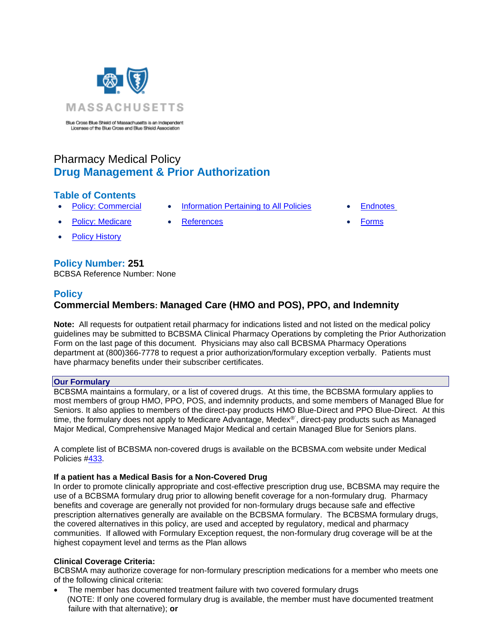

Blue Cross Blue Shield of Massachusetts is an Independent Licensee of the Blue Cross and Blue Shield Association

# Pharmacy Medical Policy **Drug Management & Prior Authorization**

## **Table of Contents**

- 
- Policy: Medicare [References](#page-9-0) [Forms](http://www.bluecrossma.org/medical-policies/sites/g/files/csphws2091/files/acquiadam-assets/023%20E%20Form%20medication%20prior%20auth%20instruction%20prn.pdf)
- **[Policy History](#page-8-1)**

## **Policy Number: 251**

<span id="page-0-0"></span>BCBSA Reference Number: None

### **Policy**

## **Commercial Members: Managed Care (HMO and POS), PPO, and Indemnity**

**Note:** All requests for outpatient retail pharmacy for indications listed and not listed on the medical policy guidelines may be submitted to BCBSMA Clinical Pharmacy Operations by completing the Prior Authorization Form on the last page of this document. Physicians may also call BCBSMA Pharmacy Operations department at (800)366-7778 to request a prior authorization/formulary exception verbally. Patients must have pharmacy benefits under their subscriber certificates.

### **Our Formulary**

BCBSMA maintains a formulary, or a list of covered drugs. At this time, the BCBSMA formulary applies to most members of group HMO, PPO, POS, and indemnity products, and some members of Managed Blue for Seniors. It also applies to members of the direct-pay products HMO Blue-Direct and PPO Blue-Direct. At this time, the formulary does not apply to Medicare Advantage, Medex®´, direct-pay products such as Managed Major Medical, Comprehensive Managed Major Medical and certain Managed Blue for Seniors plans.

A complete list of BCBSMA non-covered drugs is available on the BCBSMA.com website under Medical Policies [#433.](http://www.bluecrossma.org/medical-policies/sites/g/files/csphws2091/files/acquiadam-assets/433%20Noncovered%20Drug%20List%20prn.pdf)

### **If a patient has a Medical Basis for a Non-Covered Drug**

In order to promote clinically appropriate and cost-effective prescription drug use, BCBSMA may require the use of a BCBSMA formulary drug prior to allowing benefit coverage for a non-formulary drug. Pharmacy benefits and coverage are generally not provided for non-formulary drugs because safe and effective prescription alternatives generally are available on the BCBSMA formulary. The BCBSMA formulary drugs, the covered alternatives in this policy, are used and accepted by regulatory, medical and pharmacy communities. If allowed with Formulary Exception request, the non-formulary drug coverage will be at the highest copayment level and terms as the Plan allows

### **Clinical Coverage Criteria:**

BCBSMA may authorize coverage for non-formulary prescription medications for a member who meets one of the following clinical criteria:

The member has documented treatment failure with two covered formulary drugs (NOTE: If only one covered formulary drug is available, the member must have documented treatment failure with that alternative); **or**

- **[Policy: Commercial](#page-0-0) [Information Pertaining to All Policies](#page-8-0) Endnotes** 
	- -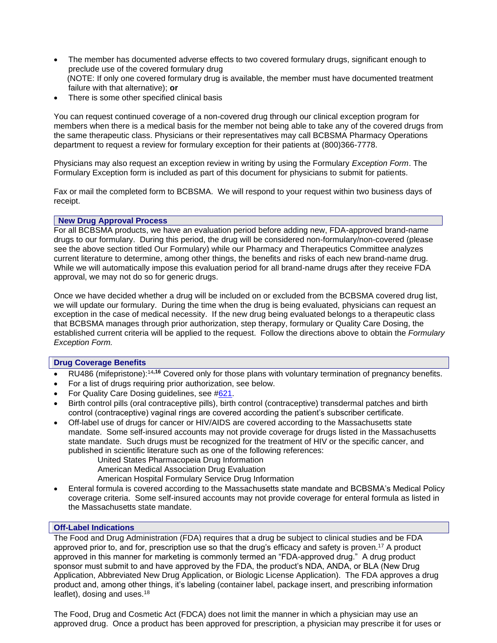- The member has documented adverse effects to two covered formulary drugs, significant enough to preclude use of the covered formulary drug (NOTE: If only one covered formulary drug is available, the member must have documented treatment failure with that alternative); **or**
- There is some other specified clinical basis

You can request continued coverage of a non-covered drug through our clinical exception program for members when there is a medical basis for the member not being able to take any of the covered drugs from the same therapeutic class. Physicians or their representatives may call BCBSMA Pharmacy Operations department to request a review for formulary exception for their patients at (800)366-7778.

Physicians may also request an exception review in writing by using the Formulary *Exception Form*. The Formulary Exception form is included as part of this document for physicians to submit for patients.

Fax or mail the completed form to BCBSMA. We will respond to your request within two business days of receipt.

#### **New Drug Approval Process**

For all BCBSMA products, we have an evaluation period before adding new, FDA-approved brand-name drugs to our formulary. During this period, the drug will be considered non-formulary/non-covered (please see the above section titled Our Formulary) while our Pharmacy and Therapeutics Committee analyzes current literature to determine, among other things, the benefits and risks of each new brand-name drug. While we will automatically impose this evaluation period for all brand-name drugs after they receive FDA approval, we may not do so for generic drugs.

Once we have decided whether a drug will be included on or excluded from the BCBSMA covered drug list, we will update our formulary. During the time when the drug is being evaluated, physicians can request an exception in the case of medical necessity. If the new drug being evaluated belongs to a therapeutic class that BCBSMA manages through prior authorization, step therapy, formulary or Quality Care Dosing, the established current criteria will be applied to the request. Follow the directions above to obtain the *Formulary Exception Form.*

#### **Drug Coverage Benefits**

- RU486 (mifepristone):<sup>14</sup>**,16** Covered only for those plans with voluntary termination of pregnancy benefits.
- For a list of drugs requiring prior authorization, see below.
- For Quality Care Dosing guidelines, see [#621.](https://www.bluecrossma.org/medical-policies/sites/g/files/csphws2091/files/acquiadam-assets/621A%20Quality%20Care%20Dosing%20Guidelines%20prn.pdf)
- Birth control pills (oral contraceptive pills), birth control (contraceptive) transdermal patches and birth control (contraceptive) vaginal rings are covered according the patient's subscriber certificate.
- Off-label use of drugs for cancer or HIV/AIDS are covered according to the Massachusetts state mandate. Some self-insured accounts may not provide coverage for drugs listed in the Massachusetts state mandate. Such drugs must be recognized for the treatment of HIV or the specific cancer, and published in scientific literature such as one of the following references:

United States Pharmacopeia Drug Information

American Medical Association Drug Evaluation

- American Hospital Formulary Service Drug Information
- Enteral formula is covered according to the Massachusetts state mandate and BCBSMA's Medical Policy coverage criteria. Some self-insured accounts may not provide coverage for enteral formula as listed in the Massachusetts state mandate.

### **Off-Label Indications**

The Food and Drug Administration (FDA) requires that a drug be subject to clinical studies and be FDA approved prior to, and for, prescription use so that the drug's efficacy and safety is proven.<sup>17</sup> A product approved in this manner for marketing is commonly termed an "FDA-approved drug." A drug product sponsor must submit to and have approved by the FDA, the product's NDA, ANDA, or BLA (New Drug Application, Abbreviated New Drug Application, or Biologic License Application). The FDA approves a drug product and, among other things, it's labeling (container label, package insert, and prescribing information leaflet), dosing and uses.<sup>18</sup>

The Food, Drug and Cosmetic Act (FDCA) does not limit the manner in which a physician may use an approved drug. Once a product has been approved for prescription, a physician may prescribe it for uses or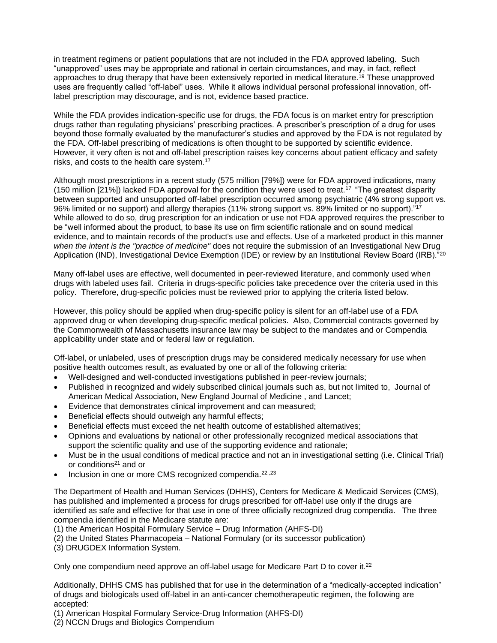in treatment regimens or patient populations that are not included in the FDA approved labeling. Such "unapproved" uses may be appropriate and rational in certain circumstances, and may, in fact, reflect approaches to drug therapy that have been extensively reported in medical literature.<sup>19</sup> These unapproved uses are frequently called "off-label" uses. While it allows individual personal professional innovation, offlabel prescription may discourage, and is not, evidence based practice.

While the FDA provides indication-specific use for drugs, the FDA focus is on market entry for prescription drugs rather than regulating physicians' prescribing practices. A prescriber's prescription of a drug for uses beyond those formally evaluated by the manufacturer's studies and approved by the FDA is not regulated by the FDA. Off-label prescribing of medications is often thought to be supported by scientific evidence. However, it very often is not and off-label prescription raises key concerns about patient efficacy and safety risks, and costs to the health care system.<sup>17</sup>

Although most prescriptions in a recent study (575 million [79%]) were for FDA approved indications, many (150 million [21%]) lacked FDA approval for the condition they were used to treat.<sup>17</sup>"The greatest disparity between supported and unsupported off-label prescription occurred among psychiatric (4% strong support vs. 96% limited or no support) and allergy therapies (11% strong support vs. 89% limited or no support)."<sup>17</sup> While allowed to do so, drug prescription for an indication or use not FDA approved requires the prescriber to be "well informed about the product, to base its use on firm scientific rationale and on sound medical evidence, and to maintain records of the product's use and effects. Use of a marketed product in this manner *when the intent is the "practice of medicine"* does not require the submission of an Investigational New Drug Application (IND), Investigational Device Exemption (IDE) or review by an Institutional Review Board (IRB).<sup>"20</sup>

Many off-label uses are effective, well documented in peer-reviewed literature, and commonly used when drugs with labeled uses fail. Criteria in drugs-specific policies take precedence over the criteria used in this policy. Therefore, drug-specific policies must be reviewed prior to applying the criteria listed below.

However, this policy should be applied when drug-specific policy is silent for an off-label use of a FDA approved drug or when developing drug-specific medical policies. Also, Commercial contracts governed by the Commonwealth of Massachusetts insurance law may be subject to the mandates and or Compendia applicability under state and or federal law or regulation.

Off-label, or unlabeled, uses of prescription drugs may be considered medically necessary for use when positive health outcomes result, as evaluated by one or all of the following criteria:

- Well-designed and well-conducted investigations published in peer-review journals;
- Published in recognized and widely subscribed clinical journals such as, but not limited to, Journal of American Medical Association, New England Journal of Medicine , and Lancet;
- Evidence that demonstrates clinical improvement and can measured;
- Beneficial effects should outweigh any harmful effects;
- Beneficial effects must exceed the net health outcome of established alternatives;
- Opinions and evaluations by national or other professionally recognized medical associations that support the scientific quality and use of the supporting evidence and rationale;
- Must be in the usual conditions of medical practice and not an in investigational setting (i.e. Clinical Trial) or conditions<sup>21</sup> and or
- Inclusion in one or more CMS recognized compendia.<sup>22,,23</sup>

The Department of Health and Human Services (DHHS), Centers for Medicare & Medicaid Services (CMS), has published and implemented a process for drugs prescribed for off-label use only if the drugs are identified as safe and effective for that use in one of three officially recognized drug compendia. The three compendia identified in the Medicare statute are:

(1) the American Hospital Formulary Service – Drug Information (AHFS-DI)

- (2) the United States Pharmacopeia National Formulary (or its successor publication)
- (3) DRUGDEX Information System.

Only one compendium need approve an off-label usage for Medicare Part D to cover it.<sup>22</sup>

Additionally, DHHS CMS has published that for use in the determination of a "medically-accepted indication" of drugs and biologicals used off-label in an anti-cancer chemotherapeutic regimen, the following are accepted:

(1) American Hospital Formulary Service-Drug Information (AHFS-DI)

(2) NCCN Drugs and Biologics Compendium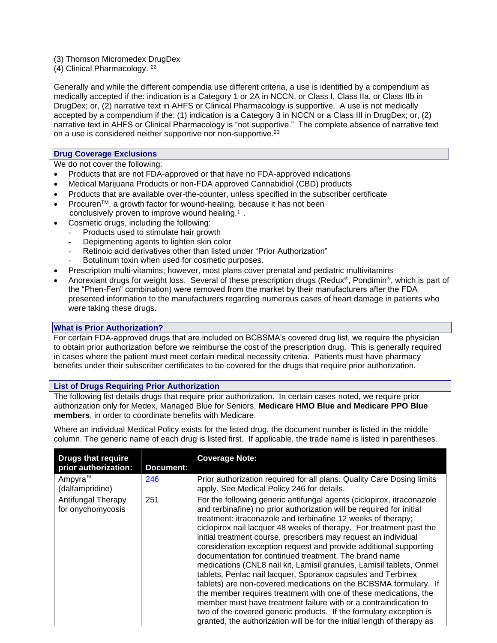(3) Thomson Micromedex DrugDex

(4) Clinical Pharmacology. <sup>22</sup>

Generally and while the different compendia use different criteria, a use is identified by a compendium as medically accepted if the: indication is a Category 1 or 2A in NCCN, or Class I, Class IIa, or Class IIb in DrugDex; or, (2) narrative text in AHFS or Clinical Pharmacology is supportive. A use is not medically accepted by a compendium if the: (1) indication is a Category 3 in NCCN or a Class III in DrugDex; or, (2) narrative text in AHFS or Clinical Pharmacology is "not supportive." The complete absence of narrative text on a use is considered neither supportive nor non-supportive.<sup>23</sup>

#### **Drug Coverage Exclusions**

We do not cover the following:

- Products that are not FDA-approved or that have no FDA-approved indications
- Medical Marijuana Products or non-FDA approved Cannabidiol (CBD) products
- Products that are available over-the-counter, unless specified in the subscriber certificate
- Procuren<sup>™</sup>, a growth factor for wound-healing, because it has not been conclusively proven to improve wound healing.<sup>1</sup>.
- Cosmetic drugs, including the following:
	- Products used to stimulate hair growth
	- Depigmenting agents to lighten skin color
	- Retinoic acid derivatives other than listed under "Prior Authorization"
	- Botulinum toxin when used for cosmetic purposes.
- Prescription multi-vitamins; however, most plans cover prenatal and pediatric multivitamins
- Anorexiant drugs for weight loss. Several of these prescription drugs (Redux®, Pondimin®, which is part of the "Phen-Fen" combination) were removed from the market by their manufacturers after the FDA presented information to the manufacturers regarding numerous cases of heart damage in patients who were taking these drugs.

#### **What is Prior Authorization?**

For certain FDA-approved drugs that are included on BCBSMA's covered drug list, we require the physician to obtain prior authorization before we reimburse the cost of the prescription drug. This is generally required in cases where the patient must meet certain medical necessity criteria. Patients must have pharmacy benefits under their subscriber certificates to be covered for the drugs that require prior authorization.

### **List of Drugs Requiring Prior Authorization**

The following list details drugs that require prior authorization. In certain cases noted, we require prior authorization only for Medex, Managed Blue for Seniors, **Medicare HMO Blue and Medicare PPO Blue members**, in order to coordinate benefits with Medicare.

Where an individual Medical Policy exists for the listed drug, the document number is listed in the middle column. The generic name of each drug is listed first. If applicable, the trade name is listed in parentheses.

| <b>Drugs that require</b><br>prior authorization: | <b>Document:</b> | <b>Coverage Note:</b>                                                                                                                                                                                                                                                                                                                                                                                                                                                                                                                                                                                                                                                                                                                                                                                                                                                                                                                                                                      |
|---------------------------------------------------|------------------|--------------------------------------------------------------------------------------------------------------------------------------------------------------------------------------------------------------------------------------------------------------------------------------------------------------------------------------------------------------------------------------------------------------------------------------------------------------------------------------------------------------------------------------------------------------------------------------------------------------------------------------------------------------------------------------------------------------------------------------------------------------------------------------------------------------------------------------------------------------------------------------------------------------------------------------------------------------------------------------------|
| Ampyra <sup>™</sup><br>(dalfampridine)            | 246              | Prior authorization required for all plans. Quality Care Dosing limits<br>apply. See Medical Policy 246 for details.                                                                                                                                                                                                                                                                                                                                                                                                                                                                                                                                                                                                                                                                                                                                                                                                                                                                       |
| Antifungal Therapy<br>for onychomycosis           | 251              | For the following generic antifungal agents (ciclopirox, itraconazole<br>and terbinafine) no prior authorization will be required for initial<br>treatment: itraconazole and terbinafine 12 weeks of therapy;<br>ciclopirox nail lacquer 48 weeks of therapy. For treatment past the<br>initial treatment course, prescribers may request an individual<br>consideration exception request and provide additional supporting<br>documentation for continued treatment. The brand name<br>medications (CNL8 nail kit, Lamisil granules, Lamisil tablets, Onmel<br>tablets, Penlac nail lacquer, Sporanox capsules and Terbinex<br>tablets) are non-covered medications on the BCBSMA formulary. If<br>the member requires treatment with one of these medications, the<br>member must have treatment failure with or a contraindication to<br>two of the covered generic products. If the formulary exception is<br>granted, the authorization will be for the initial length of therapy as |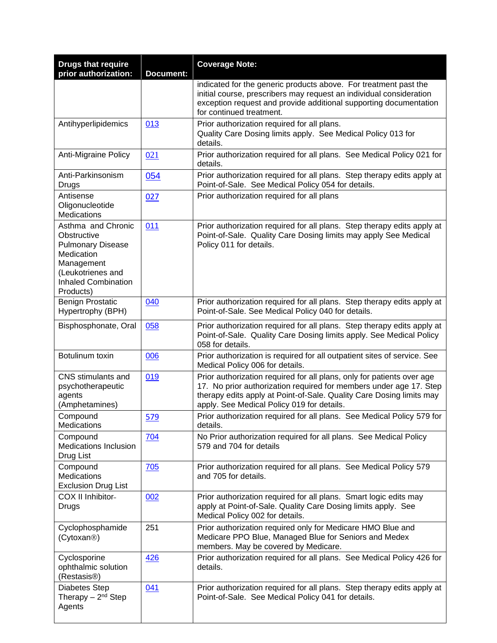| <b>Drugs that require</b><br>prior authorization:                                                                                                         | <b>Document:</b> | <b>Coverage Note:</b>                                                                                                                                                                                                                                              |
|-----------------------------------------------------------------------------------------------------------------------------------------------------------|------------------|--------------------------------------------------------------------------------------------------------------------------------------------------------------------------------------------------------------------------------------------------------------------|
|                                                                                                                                                           |                  | indicated for the generic products above. For treatment past the<br>initial course, prescribers may request an individual consideration                                                                                                                            |
|                                                                                                                                                           |                  | exception request and provide additional supporting documentation<br>for continued treatment.                                                                                                                                                                      |
| Antihyperlipidemics                                                                                                                                       | 013              | Prior authorization required for all plans.<br>Quality Care Dosing limits apply. See Medical Policy 013 for                                                                                                                                                        |
|                                                                                                                                                           |                  | details.                                                                                                                                                                                                                                                           |
| Anti-Migraine Policy                                                                                                                                      | 021              | Prior authorization required for all plans. See Medical Policy 021 for<br>details.                                                                                                                                                                                 |
| Anti-Parkinsonism<br>Drugs                                                                                                                                | 054              | Prior authorization required for all plans. Step therapy edits apply at<br>Point-of-Sale. See Medical Policy 054 for details.                                                                                                                                      |
| Antisense<br>Oligonucleotide<br>Medications                                                                                                               | 027              | Prior authorization required for all plans                                                                                                                                                                                                                         |
| Asthma and Chronic<br>Obstructive<br><b>Pulmonary Disease</b><br>Medication<br>Management<br>(Leukotrienes and<br><b>Inhaled Combination</b><br>Products) | 011              | Prior authorization required for all plans. Step therapy edits apply at<br>Point-of-Sale. Quality Care Dosing limits may apply See Medical<br>Policy 011 for details.                                                                                              |
| <b>Benign Prostatic</b><br>Hypertrophy (BPH)                                                                                                              | 040              | Prior authorization required for all plans. Step therapy edits apply at<br>Point-of-Sale. See Medical Policy 040 for details.                                                                                                                                      |
| Bisphosphonate, Oral                                                                                                                                      | 058              | Prior authorization required for all plans. Step therapy edits apply at<br>Point-of-Sale. Quality Care Dosing limits apply. See Medical Policy<br>058 for details.                                                                                                 |
| Botulinum toxin                                                                                                                                           | 006              | Prior authorization is required for all outpatient sites of service. See<br>Medical Policy 006 for details.                                                                                                                                                        |
| CNS stimulants and<br>psychotherapeutic<br>agents<br>(Amphetamines)                                                                                       | 019              | Prior authorization required for all plans, only for patients over age<br>17. No prior authorization required for members under age 17. Step<br>therapy edits apply at Point-of-Sale. Quality Care Dosing limits may<br>apply. See Medical Policy 019 for details. |
| Compound<br>Medications                                                                                                                                   | 579              | Prior authorization required for all plans. See Medical Policy 579 for<br>details.                                                                                                                                                                                 |
| Compound<br><b>Medications Inclusion</b><br>Drug List                                                                                                     | 704              | No Prior authorization required for all plans. See Medical Policy<br>579 and 704 for details                                                                                                                                                                       |
| Compound<br>Medications<br><b>Exclusion Drug List</b>                                                                                                     | 705              | Prior authorization required for all plans. See Medical Policy 579<br>and 705 for details.                                                                                                                                                                         |
| COX II Inhibitor-<br>Drugs                                                                                                                                | 002              | Prior authorization required for all plans. Smart logic edits may<br>apply at Point-of-Sale. Quality Care Dosing limits apply. See<br>Medical Policy 002 for details.                                                                                              |
| Cyclophosphamide<br>(Cytoxan <sup>®</sup> )                                                                                                               | 251              | Prior authorization required only for Medicare HMO Blue and<br>Medicare PPO Blue, Managed Blue for Seniors and Medex<br>members. May be covered by Medicare.                                                                                                       |
| Cyclosporine<br>ophthalmic solution<br>(Restasis <sup>®</sup> )                                                                                           | 426              | Prior authorization required for all plans. See Medical Policy 426 for<br>details.                                                                                                                                                                                 |
| Diabetes Step<br>Therapy $-2^{nd}$ Step<br>Agents                                                                                                         | 041              | Prior authorization required for all plans. Step therapy edits apply at<br>Point-of-Sale. See Medical Policy 041 for details.                                                                                                                                      |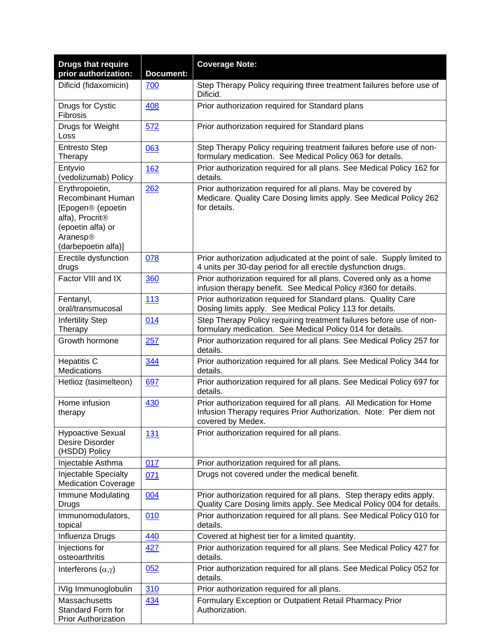| <b>Drugs that require</b><br>prior authorization:                                                                                                | <b>Document:</b> | <b>Coverage Note:</b>                                                                                                                                         |
|--------------------------------------------------------------------------------------------------------------------------------------------------|------------------|---------------------------------------------------------------------------------------------------------------------------------------------------------------|
| Dificid (fidaxomicin)                                                                                                                            | 700              | Step Therapy Policy requiring three treatment failures before use of<br>Dificid.                                                                              |
| Drugs for Cystic<br>Fibrosis                                                                                                                     | 408              | Prior authorization required for Standard plans                                                                                                               |
| Drugs for Weight<br>Loss                                                                                                                         | 572              | Prior authorization required for Standard plans                                                                                                               |
| <b>Entresto Step</b><br>Therapy                                                                                                                  | 063              | Step Therapy Policy requiring treatment failures before use of non-<br>formulary medication. See Medical Policy 063 for details.                              |
| Entyvio<br>(vedolizumab) Policy                                                                                                                  | <b>162</b>       | Prior authorization required for all plans. See Medical Policy 162 for<br>details.                                                                            |
| Erythropoietin,<br>Recombinant Human<br>[Epogen® (epoetin<br>alfa), Procrit <sup>®</sup><br>(epoetin alfa) or<br>Aranesp®<br>(darbepoetin alfa)] | 262              | Prior authorization required for all plans. May be covered by<br>Medicare. Quality Care Dosing limits apply. See Medical Policy 262<br>for details.           |
| Erectile dysfunction<br>drugs                                                                                                                    | 078              | Prior authorization adjudicated at the point of sale. Supply limited to<br>4 units per 30-day period for all erectile dysfunction drugs.                      |
| Factor VIII and IX                                                                                                                               | 360              | Prior authorization required for all plans. Covered only as a home<br>infusion therapy benefit. See Medical Policy #360 for details.                          |
| Fentanyl,<br>oral/transmucosal                                                                                                                   | 113              | Prior authorization required for Standard plans. Quality Care<br>Dosing limits apply. See Medical Policy 113 for details.                                     |
| <b>Infertility Step</b><br>Therapy                                                                                                               | 014              | Step Therapy Policy requiring treatment failures before use of non-<br>formulary medication. See Medical Policy 014 for details.                              |
| Growth hormone                                                                                                                                   | 257              | Prior authorization required for all plans. See Medical Policy 257 for<br>details.                                                                            |
| <b>Hepatitis C</b><br>Medications                                                                                                                | 344              | Prior authorization required for all plans. See Medical Policy 344 for<br>details.                                                                            |
| Hetlioz (tasimelteon)                                                                                                                            | 697              | Prior authorization required for all plans. See Medical Policy 697 for<br>details.                                                                            |
| Home infusion<br>therapy                                                                                                                         | 430              | Prior authorization required for all plans. All Medication for Home<br>Infusion Therapy requires Prior Authorization. Note: Per diem not<br>covered by Medex. |
| <b>Hypoactive Sexual</b><br>Desire Disorder<br>(HSDD) Policy                                                                                     | 131              | Prior authorization required for all plans.                                                                                                                   |
| Injectable Asthma                                                                                                                                | 017              | Prior authorization required for all plans.                                                                                                                   |
| <b>Injectable Specialty</b><br><b>Medication Coverage</b>                                                                                        | 071              | Drugs not covered under the medical benefit.                                                                                                                  |
| Immune Modulating<br>Drugs                                                                                                                       | 004              | Prior authorization required for all plans. Step therapy edits apply.<br>Quality Care Dosing limits apply. See Medical Policy 004 for details.                |
| Immunomodulators,<br>topical                                                                                                                     | 010              | Prior authorization required for all plans. See Medical Policy 010 for<br>details.                                                                            |
| Influenza Drugs                                                                                                                                  | 440              | Covered at highest tier for a limited quantity.                                                                                                               |
| Injections for<br>osteoarthritis                                                                                                                 | 427              | Prior authorization required for all plans. See Medical Policy 427 for<br>details.                                                                            |
| Interferons $(\alpha, \gamma)$                                                                                                                   | 052              | Prior authorization required for all plans. See Medical Policy 052 for<br>details.                                                                            |
| IVIg Immunoglobulin                                                                                                                              | 310              | Prior authorization required for all plans.                                                                                                                   |
| Massachusetts<br>Standard Form for<br><b>Prior Authorization</b>                                                                                 | 434              | Formulary Exception or Outpatient Retail Pharmacy Prior<br>Authorization.                                                                                     |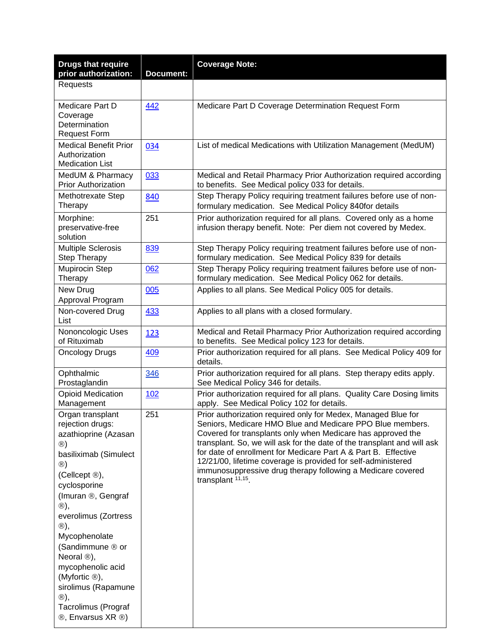| <b>Drugs that require</b><br>prior authorization:                                                                                                                                                                                                                                                                                                                                                                                         | Document: | <b>Coverage Note:</b>                                                                                                                                                                                                                                                                                                                                                                                                                                                                       |
|-------------------------------------------------------------------------------------------------------------------------------------------------------------------------------------------------------------------------------------------------------------------------------------------------------------------------------------------------------------------------------------------------------------------------------------------|-----------|---------------------------------------------------------------------------------------------------------------------------------------------------------------------------------------------------------------------------------------------------------------------------------------------------------------------------------------------------------------------------------------------------------------------------------------------------------------------------------------------|
| Requests                                                                                                                                                                                                                                                                                                                                                                                                                                  |           |                                                                                                                                                                                                                                                                                                                                                                                                                                                                                             |
| Medicare Part D<br>Coverage<br>Determination<br><b>Request Form</b>                                                                                                                                                                                                                                                                                                                                                                       | 442       | Medicare Part D Coverage Determination Request Form                                                                                                                                                                                                                                                                                                                                                                                                                                         |
| <b>Medical Benefit Prior</b><br>Authorization<br><b>Medication List</b>                                                                                                                                                                                                                                                                                                                                                                   | 034       | List of medical Medications with Utilization Management (MedUM)                                                                                                                                                                                                                                                                                                                                                                                                                             |
| MedUM & Pharmacy<br><b>Prior Authorization</b>                                                                                                                                                                                                                                                                                                                                                                                            | 033       | Medical and Retail Pharmacy Prior Authorization required according<br>to benefits. See Medical policy 033 for details.                                                                                                                                                                                                                                                                                                                                                                      |
| Methotrexate Step<br>Therapy                                                                                                                                                                                                                                                                                                                                                                                                              | 840       | Step Therapy Policy requiring treatment failures before use of non-<br>formulary medication. See Medical Policy 840for details                                                                                                                                                                                                                                                                                                                                                              |
| Morphine:<br>preservative-free<br>solution                                                                                                                                                                                                                                                                                                                                                                                                | 251       | Prior authorization required for all plans. Covered only as a home<br>infusion therapy benefit. Note: Per diem not covered by Medex.                                                                                                                                                                                                                                                                                                                                                        |
| <b>Multiple Sclerosis</b><br>Step Therapy                                                                                                                                                                                                                                                                                                                                                                                                 | 839       | Step Therapy Policy requiring treatment failures before use of non-<br>formulary medication. See Medical Policy 839 for details                                                                                                                                                                                                                                                                                                                                                             |
| Mupirocin Step<br>Therapy                                                                                                                                                                                                                                                                                                                                                                                                                 | 062       | Step Therapy Policy requiring treatment failures before use of non-<br>formulary medication. See Medical Policy 062 for details.                                                                                                                                                                                                                                                                                                                                                            |
| New Drug<br>Approval Program                                                                                                                                                                                                                                                                                                                                                                                                              | 005       | Applies to all plans. See Medical Policy 005 for details.                                                                                                                                                                                                                                                                                                                                                                                                                                   |
| Non-covered Drug<br>List                                                                                                                                                                                                                                                                                                                                                                                                                  | 433       | Applies to all plans with a closed formulary.                                                                                                                                                                                                                                                                                                                                                                                                                                               |
| Nononcologic Uses<br>of Rituximab                                                                                                                                                                                                                                                                                                                                                                                                         | 123       | Medical and Retail Pharmacy Prior Authorization required according<br>to benefits. See Medical policy 123 for details.                                                                                                                                                                                                                                                                                                                                                                      |
| <b>Oncology Drugs</b>                                                                                                                                                                                                                                                                                                                                                                                                                     | 409       | Prior authorization required for all plans. See Medical Policy 409 for<br>details.                                                                                                                                                                                                                                                                                                                                                                                                          |
| Ophthalmic<br>Prostaglandin                                                                                                                                                                                                                                                                                                                                                                                                               | 346       | Prior authorization required for all plans. Step therapy edits apply.<br>See Medical Policy 346 for details.                                                                                                                                                                                                                                                                                                                                                                                |
| <b>Opioid Medication</b><br>Management                                                                                                                                                                                                                                                                                                                                                                                                    | 102       | Prior authorization required for all plans. Quality Care Dosing limits<br>apply. See Medical Policy 102 for details.                                                                                                                                                                                                                                                                                                                                                                        |
| Organ transplant<br>rejection drugs:<br>azathioprine (Azasan<br>$\circledR)$<br>basiliximab (Simulect<br>$\circledR$<br>(Cellcept ®),<br>cyclosporine<br>(Imuran ®, Gengraf<br>$\circledR),$<br>everolimus (Zortress<br>$\circledR),$<br>Mycophenolate<br>(Sandimmune ® or<br>Neoral <sup>®</sup> ),<br>mycophenolic acid<br>(Myfortic $\circledR$ ),<br>sirolimus (Rapamune<br>$\circledR),$<br>Tacrolimus (Prograf<br>®, Envarsus XR ®) | 251       | Prior authorization required only for Medex, Managed Blue for<br>Seniors, Medicare HMO Blue and Medicare PPO Blue members.<br>Covered for transplants only when Medicare has approved the<br>transplant. So, we will ask for the date of the transplant and will ask<br>for date of enrollment for Medicare Part A & Part B. Effective<br>12/21/00, lifetime coverage is provided for self-administered<br>immunosuppressive drug therapy following a Medicare covered<br>transplant 11,15. |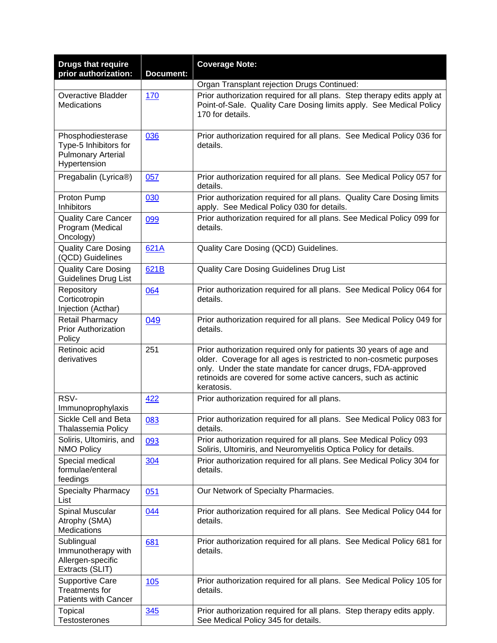| <b>Drugs that require</b><br>prior authorization:                                       | <b>Document:</b> | <b>Coverage Note:</b>                                                                                                                                                                                                                                                                     |
|-----------------------------------------------------------------------------------------|------------------|-------------------------------------------------------------------------------------------------------------------------------------------------------------------------------------------------------------------------------------------------------------------------------------------|
|                                                                                         |                  | Organ Transplant rejection Drugs Continued:                                                                                                                                                                                                                                               |
| Overactive Bladder<br>Medications                                                       | 170              | Prior authorization required for all plans. Step therapy edits apply at<br>Point-of-Sale. Quality Care Dosing limits apply. See Medical Policy<br>170 for details.                                                                                                                        |
| Phosphodiesterase<br>Type-5 Inhibitors for<br><b>Pulmonary Arterial</b><br>Hypertension | 036              | Prior authorization required for all plans. See Medical Policy 036 for<br>details.                                                                                                                                                                                                        |
| Pregabalin (Lyrica®)                                                                    | 057              | Prior authorization required for all plans. See Medical Policy 057 for<br>details.                                                                                                                                                                                                        |
| Proton Pump<br>Inhibitors                                                               | 030              | Prior authorization required for all plans. Quality Care Dosing limits<br>apply. See Medical Policy 030 for details.                                                                                                                                                                      |
| <b>Quality Care Cancer</b><br>Program (Medical<br>Oncology)                             | 099              | Prior authorization required for all plans. See Medical Policy 099 for<br>details.                                                                                                                                                                                                        |
| <b>Quality Care Dosing</b><br>(QCD) Guidelines                                          | 621A             | Quality Care Dosing (QCD) Guidelines.                                                                                                                                                                                                                                                     |
| <b>Quality Care Dosing</b><br><b>Guidelines Drug List</b>                               | 621B             | Quality Care Dosing Guidelines Drug List                                                                                                                                                                                                                                                  |
| Repository<br>Corticotropin<br>Injection (Acthar)                                       | 064              | Prior authorization required for all plans. See Medical Policy 064 for<br>details.                                                                                                                                                                                                        |
| Retail Pharmacy<br><b>Prior Authorization</b><br>Policy                                 | 049              | Prior authorization required for all plans. See Medical Policy 049 for<br>details.                                                                                                                                                                                                        |
| Retinoic acid<br>derivatives                                                            | 251              | Prior authorization required only for patients 30 years of age and<br>older. Coverage for all ages is restricted to non-cosmetic purposes<br>only. Under the state mandate for cancer drugs, FDA-approved<br>retinoids are covered for some active cancers, such as actinic<br>keratosis. |
| RSV-<br>Immunoprophylaxis                                                               | 422              | Prior authorization required for all plans.                                                                                                                                                                                                                                               |
| Sickle Cell and Beta<br><b>Thalassemia Policy</b>                                       | 083              | Prior authorization required for all plans. See Medical Policy 083 for<br>details.                                                                                                                                                                                                        |
| Soliris, Ultomiris, and<br><b>NMO Policy</b>                                            | 093              | Prior authorization required for all plans. See Medical Policy 093<br>Soliris, Ultomiris, and Neuromyelitis Optica Policy for details.                                                                                                                                                    |
| Special medical<br>formulae/enteral<br>feedings                                         | 304              | Prior authorization required for all plans. See Medical Policy 304 for<br>details.                                                                                                                                                                                                        |
| <b>Specialty Pharmacy</b><br>List                                                       | 051              | Our Network of Specialty Pharmacies.                                                                                                                                                                                                                                                      |
| Spinal Muscular<br>Atrophy (SMA)<br>Medications                                         | 044              | Prior authorization required for all plans. See Medical Policy 044 for<br>details.                                                                                                                                                                                                        |
| Sublingual<br>Immunotherapy with<br>Allergen-specific<br>Extracts (SLIT)                | 681              | Prior authorization required for all plans. See Medical Policy 681 for<br>details.                                                                                                                                                                                                        |
| <b>Supportive Care</b><br><b>Treatments for</b><br>Patients with Cancer                 | 105              | Prior authorization required for all plans. See Medical Policy 105 for<br>details.                                                                                                                                                                                                        |
| Topical<br><b>Testosterones</b>                                                         | 345              | Prior authorization required for all plans. Step therapy edits apply.<br>See Medical Policy 345 for details.                                                                                                                                                                              |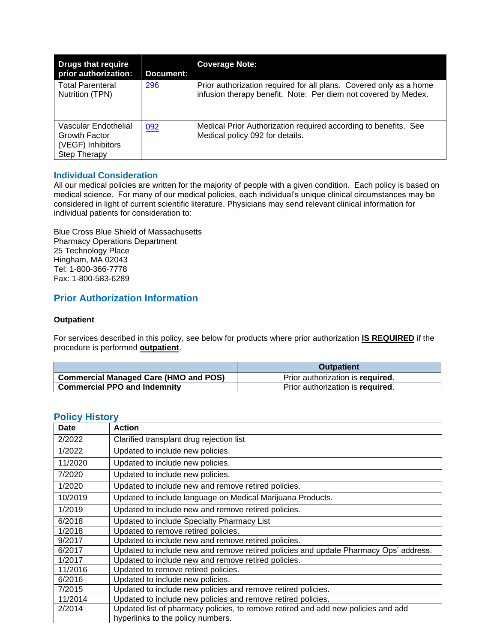| <b>Drugs that require</b><br>prior authorization:                          | <b>Document:</b> | <b>Coverage Note:</b>                                                                                                                |
|----------------------------------------------------------------------------|------------------|--------------------------------------------------------------------------------------------------------------------------------------|
| <b>Total Parenteral</b><br>Nutrition (TPN)                                 | <b>296</b>       | Prior authorization required for all plans. Covered only as a home<br>infusion therapy benefit. Note: Per diem not covered by Medex. |
| Vascular Endothelial<br>Growth Factor<br>(VEGF) Inhibitors<br>Step Therapy | 092              | Medical Prior Authorization required according to benefits. See<br>Medical policy 092 for details.                                   |

### <span id="page-8-0"></span>**Individual Consideration**

All our medical policies are written for the majority of people with a given condition. Each policy is based on medical science. For many of our medical policies, each individual's unique clinical circumstances may be considered in light of current scientific literature. Physicians may send relevant clinical information for individual patients for consideration to:

Blue Cross Blue Shield of Massachusetts Pharmacy Operations Department 25 Technology Place Hingham, MA 02043 Tel: 1-800-366-7778 Fax: 1-800-583-6289

### **Prior Authorization Information**

### **Outpatient**

For services described in this policy, see below for products where prior authorization **IS REQUIRED** if the procedure is performed **outpatient**.

|                                              | <b>Outpatient</b>                |
|----------------------------------------------|----------------------------------|
| <b>Commercial Managed Care (HMO and POS)</b> | Prior authorization is required. |
| <b>Commercial PPO and Indemnity</b>          | Prior authorization is required. |

### <span id="page-8-1"></span>**Policy History**

| Date    | <b>Action</b>                                                                                                          |
|---------|------------------------------------------------------------------------------------------------------------------------|
| 2/2022  | Clarified transplant drug rejection list                                                                               |
| 1/2022  | Updated to include new policies.                                                                                       |
| 11/2020 | Updated to include new policies.                                                                                       |
| 7/2020  | Updated to include new policies.                                                                                       |
| 1/2020  | Updated to include new and remove retired policies.                                                                    |
| 10/2019 | Updated to include language on Medical Marijuana Products.                                                             |
| 1/2019  | Updated to include new and remove retired policies.                                                                    |
| 6/2018  | Updated to include Specialty Pharmacy List                                                                             |
| 1/2018  | Updated to remove retired policies.                                                                                    |
| 9/2017  | Updated to include new and remove retired policies.                                                                    |
| 6/2017  | Updated to include new and remove retired policies and update Pharmacy Ops' address.                                   |
| 1/2017  | Updated to include new and remove retired policies.                                                                    |
| 11/2016 | Updated to remove retired policies.                                                                                    |
| 6/2016  | Updated to include new policies.                                                                                       |
| 7/2015  | Updated to include new policies and remove retired policies.                                                           |
| 11/2014 | Updated to include new policies and remove retired policies.                                                           |
| 2/2014  | Updated list of pharmacy policies, to remove retired and add new policies and add<br>hyperlinks to the policy numbers. |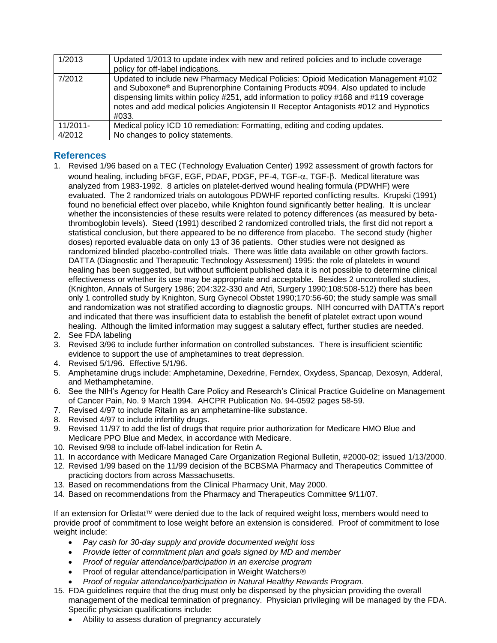| 1/2013      | Updated 1/2013 to update index with new and retired policies and to include coverage<br>policy for off-label indications.                                                                                                                                                                                                                                            |
|-------------|----------------------------------------------------------------------------------------------------------------------------------------------------------------------------------------------------------------------------------------------------------------------------------------------------------------------------------------------------------------------|
| 7/2012      | Updated to include new Pharmacy Medical Policies: Opioid Medication Management #102<br>and Suboxone® and Buprenorphine Containing Products #094. Also updated to include<br>dispensing limits within policy #251, add information to policy #168 and #119 coverage<br>notes and add medical policies Angiotensin II Receptor Antagonists #012 and Hypnotics<br>#033. |
| $11/2011 -$ | Medical policy ICD 10 remediation: Formatting, editing and coding updates.                                                                                                                                                                                                                                                                                           |
| 4/2012      | No changes to policy statements.                                                                                                                                                                                                                                                                                                                                     |

## <span id="page-9-0"></span>**References**

- 1. Revised 1/96 based on a TEC (Technology Evaluation Center) 1992 assessment of growth factors for wound healing, including bFGF, EGF, PDAF, PDGF, PF-4, TGF-α, TGF-β. Medical literature was analyzed from 1983-1992. 8 articles on platelet-derived wound healing formula (PDWHF) were evaluated. The 2 randomized trials on autologous PDWHF reported conflicting results. Krupski (1991) found no beneficial effect over placebo, while Knighton found significantly better healing. It is unclear whether the inconsistencies of these results were related to potency differences (as measured by betathromboglobin levels). Steed (1991) described 2 randomized controlled trials, the first did not report a statistical conclusion, but there appeared to be no difference from placebo. The second study (higher doses) reported evaluable data on only 13 of 36 patients. Other studies were not designed as randomized blinded placebo-controlled trials. There was little data available on other growth factors. DATTA (Diagnostic and Therapeutic Technology Assessment) 1995: the role of platelets in wound healing has been suggested, but without sufficient published data it is not possible to determine clinical effectiveness or whether its use may be appropriate and acceptable. Besides 2 uncontrolled studies, (Knighton, Annals of Surgery 1986; 204:322-330 and Atri, Surgery 1990;108:508-512) there has been only 1 controlled study by Knighton, Surg Gynecol Obstet 1990;170:56-60; the study sample was small and randomization was not stratified according to diagnostic groups. NIH concurred with DATTA's report and indicated that there was insufficient data to establish the benefit of platelet extract upon wound healing. Although the limited information may suggest a salutary effect, further studies are needed.
- 2. See FDA labeling
- 3. Revised 3/96 to include further information on controlled substances. There is insufficient scientific evidence to support the use of amphetamines to treat depression.
- 4. Revised 5/1/96. Effective 5/1/96.
- 5. Amphetamine drugs include: Amphetamine, Dexedrine, Ferndex, Oxydess, Spancap, Dexosyn, Adderal, and Methamphetamine.
- 6. See the NIH's Agency for Health Care Policy and Research's Clinical Practice Guideline on Management of Cancer Pain, No. 9 March 1994. AHCPR Publication No. 94-0592 pages 58-59.
- 7. Revised 4/97 to include Ritalin as an amphetamine-like substance.
- 8. Revised 4/97 to include infertility drugs.
- 9. Revised 11/97 to add the list of drugs that require prior authorization for Medicare HMO Blue and Medicare PPO Blue and Medex, in accordance with Medicare.
- 10. Revised 9/98 to include off-label indication for Retin A.
- 11. In accordance with Medicare Managed Care Organization Regional Bulletin, #2000-02; issued 1/13/2000.
- 12. Revised 1/99 based on the 11/99 decision of the BCBSMA Pharmacy and Therapeutics Committee of practicing doctors from across Massachusetts.
- 13. Based on recommendations from the Clinical Pharmacy Unit, May 2000.
- 14. Based on recommendations from the Pharmacy and Therapeutics Committee 9/11/07.

If an extension for Orlistat™ were denied due to the lack of required weight loss, members would need to provide proof of commitment to lose weight before an extension is considered. Proof of commitment to lose weight include:

- *Pay cash for 30-day supply and provide documented weight loss*
- *Provide letter of commitment plan and goals signed by MD and member*
- *Proof of regular attendance/participation in an exercise program*
- Proof of regular attendance/participation in Weight Watchers®
- *Proof of regular attendance/participation in Natural Healthy Rewards Program.*
- 15. FDA guidelines require that the drug must only be dispensed by the physician providing the overall management of the medical termination of pregnancy. Physician privileging will be managed by the FDA. Specific physician qualifications include:
	- Ability to assess duration of pregnancy accurately